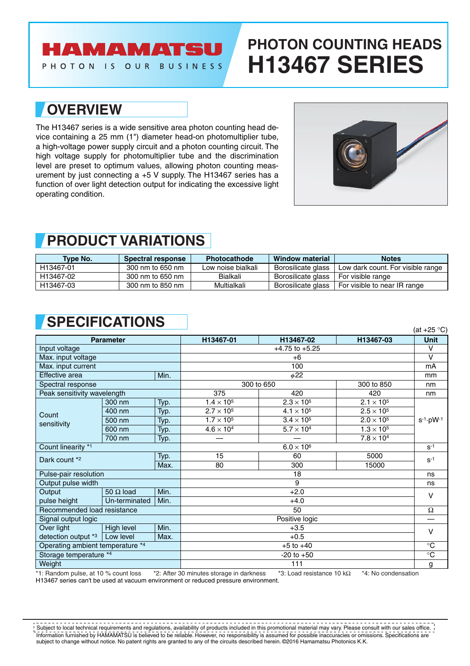## **AMAMATSU**

PHOTON IS OUR BUSINESS

# **PHOTON COUNTING HEADS H13467 SERIES**

#### **OVERVIEW**

The H13467 series is a wide sensitive area photon counting head device containing a 25 mm (1") diameter head-on photomultiplier tube, a high-voltage power supply circuit and a photon counting circuit. The high voltage supply for photomultiplier tube and the discrimination level are preset to optimum values, allowing photon counting measurement by just connecting a +5 V supply. The H13467 series has a function of over light detection output for indicating the excessive light operating condition.



### **PRODUCT VARIATIONS**

| <b>Type No.</b> | <b>Spectral response</b> | <b>Photocathode</b> | Window material    | <b>Notes</b>                      |
|-----------------|--------------------------|---------------------|--------------------|-----------------------------------|
| H13467-01       | 300 nm to 650 nm         | Low noise bialkali  | Borosilicate glass | Low dark count. For visible range |
| H13467-02       | 300 nm to 650 nm         | Bialkali            | Borosilicate glass | For visible range                 |
| H13467-03       | 300 nm to 850 nm         | Multialkali         | Borosilicate glass | For visible to near IR range      |

## **SPECIFICATIONS** (at +25 °C)

|                                  |                  |           |                          |                     |                     | (ul 120 U)             |
|----------------------------------|------------------|-----------|--------------------------|---------------------|---------------------|------------------------|
| <b>Parameter</b>                 |                  |           | H13467-01                | H13467-02           | H13467-03           | <b>Unit</b>            |
| Input voltage                    |                  |           | $+4.75$ to $+5.25$       |                     |                     | v                      |
| Max. input voltage               |                  |           | $+6$                     |                     |                     | $\vee$                 |
| Max. input current               |                  |           | 100                      |                     |                     | mA                     |
| Effective area<br>Min.           |                  | $\phi$ 22 |                          |                     | mm                  |                        |
| Spectral response                |                  |           | 300 to 650<br>300 to 850 |                     |                     | nm                     |
| Peak sensitivity wavelength      |                  |           | 375                      | 420                 | 420                 | nm                     |
| Count<br>sensitivity             | 300 nm           | Typ.      | $1.4 \times 10^{5}$      | $2.3 \times 10^{5}$ | $2.1 \times 10^{5}$ | $s^{-1} \cdot pW^{-1}$ |
|                                  | 400 nm           | Typ.      | $2.7 \times 10^{5}$      | $4.1 \times 10^{5}$ | $2.5 \times 10^{5}$ |                        |
|                                  | 500 nm           | Typ.      | $1.7 \times 10^{5}$      | $3.4 \times 10^{5}$ | $2.0 \times 10^5$   |                        |
|                                  | 600 nm           | Typ.      | $4.6 \times 10^4$        | $5.7 \times 10^4$   | $1.3 \times 10^{5}$ |                        |
|                                  | 700 nm           | Typ.      |                          |                     | $7.8 \times 10^4$   |                        |
| Count linearity *1               |                  |           | $6.0 \times 10^6$        |                     |                     | $S-1$                  |
| Dark count *2                    |                  | Typ.      | 15                       | 60                  | 5000                | $S^{-1}$               |
|                                  |                  | Max.      | 80                       | 300                 | 15000               |                        |
| Pulse-pair resolution            |                  |           | 18                       |                     |                     | ns                     |
| Output pulse width               |                  |           | 9                        |                     |                     | ns                     |
| Output                           | 50 $\Omega$ load | Min.      | $+2.0$                   |                     |                     |                        |
| pulse height                     | Un-terminated    | Min.      | $+4.0$                   |                     |                     |                        |
| Recommended load resistance      |                  |           | 50                       |                     |                     | $\Omega$               |
| Signal output logic              |                  |           | Positive logic           |                     |                     |                        |
| Over light                       | High level       | Min.      | $+3.5$                   |                     |                     |                        |
| detection output *3              | Low level        | Max.      | $+0.5$                   |                     |                     |                        |
| Operating ambient temperature *4 |                  |           | $+5$ to $+40$            |                     |                     | $^{\circ}C$            |
| Storage temperature *4           |                  |           | $-20$ to $+50$           |                     |                     | $\overline{C}$         |
| Weight                           |                  |           | 111                      |                     |                     | g                      |

\*1: Random pulse, at 10 % count loss \*2: After 30 minutes storage in darkness \*3: Load resistance 10 kΩ \*4: No condensation H13467 series can't be used at vacuum environment or reduced pressure environment.

Information furnished by HAMAMATSU is believed to be reliable. However, no responsibility is assumed for possible inaccuracies or omissions. Specifications are subject to change without notice. No patent rights are granted to any of the circuits described herein. ©2016 Hamamatsu Photonics K.K. Subject to local technical requirements and regulations, availability of products included in this promotional material may vary. Please consult with our sales office.